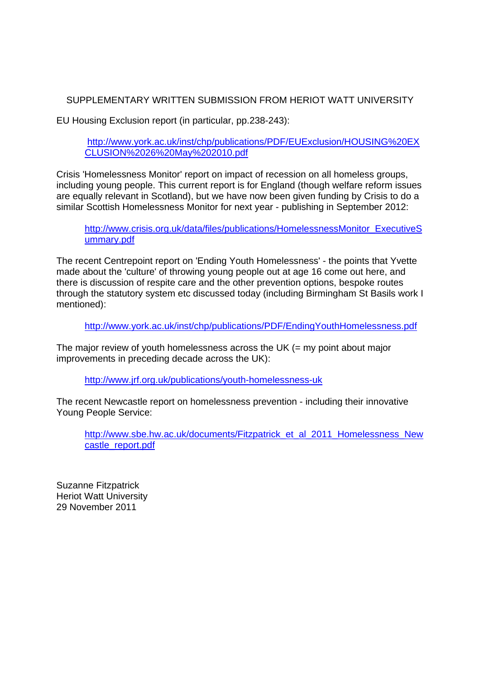# SUPPLEMENTARY WRITTEN SUBMISSION FROM HERIOT WATT UNIVERSITY

EU Housing Exclusion report (in particular, pp.238-243):

http://www.york.ac.uk/inst/chp/publications/PDF/EUExclusion/HOUSING%20EX CLUSION%2026%20May%202010.pdf

Crisis 'Homelessness Monitor' report on impact of recession on all homeless groups, including young people. This current report is for England (though welfare reform issues are equally relevant in Scotland), but we have now been given funding by Crisis to do a similar Scottish Homelessness Monitor for next year - publishing in September 2012:

http://www.crisis.org.uk/data/files/publications/HomelessnessMonitor\_ExecutiveS ummary.pdf

The recent Centrepoint report on 'Ending Youth Homelessness' - the points that Yvette made about the 'culture' of throwing young people out at age 16 come out here, and there is discussion of respite care and the other prevention options, bespoke routes through the statutory system etc discussed today (including Birmingham St Basils work I mentioned):

http://www.york.ac.uk/inst/chp/publications/PDF/EndingYouthHomelessness.pdf

The major review of youth homelessness across the UK  $(=$  my point about major improvements in preceding decade across the UK):

http://www.jrf.org.uk/publications/youth-homelessness-uk

The recent Newcastle report on homelessness prevention - including their innovative Young People Service:

http://www.sbe.hw.ac.uk/documents/Fitzpatrick\_et\_al\_2011\_Homelessness\_New castle\_report.pdf

Suzanne Fitzpatrick Heriot Watt University 29 November 2011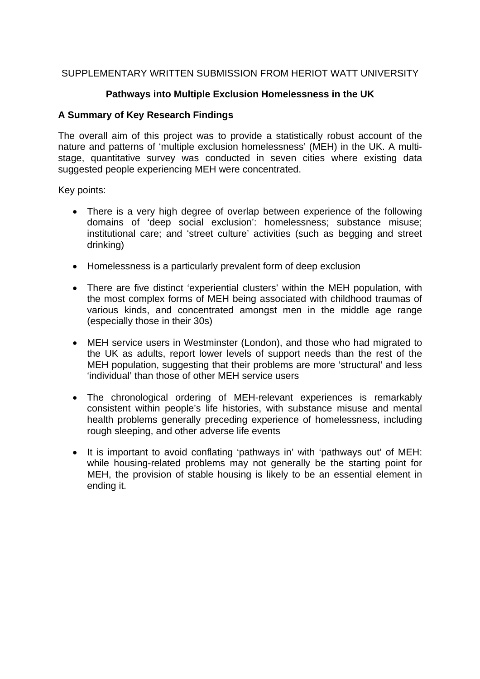# SUPPLEMENTARY WRITTEN SUBMISSION FROM HERIOT WATT UNIVERSITY

# **Pathways into Multiple Exclusion Homelessness in the UK**

# **A Summary of Key Research Findings**

The overall aim of this project was to provide a statistically robust account of the nature and patterns of 'multiple exclusion homelessness' (MEH) in the UK. A multistage, quantitative survey was conducted in seven cities where existing data suggested people experiencing MEH were concentrated.

Key points:

- There is a very high degree of overlap between experience of the following domains of 'deep social exclusion': homelessness; substance misuse; institutional care; and 'street culture' activities (such as begging and street drinking)
- Homelessness is a particularly prevalent form of deep exclusion
- There are five distinct 'experiential clusters' within the MEH population, with the most complex forms of MEH being associated with childhood traumas of various kinds, and concentrated amongst men in the middle age range (especially those in their 30s)
- MEH service users in Westminster (London), and those who had migrated to the UK as adults, report lower levels of support needs than the rest of the MEH population, suggesting that their problems are more 'structural' and less 'individual' than those of other MEH service users
- The chronological ordering of MEH-relevant experiences is remarkably consistent within people's life histories, with substance misuse and mental health problems generally preceding experience of homelessness, including rough sleeping, and other adverse life events
- It is important to avoid conflating 'pathways in' with 'pathways out' of MEH: while housing-related problems may not generally be the starting point for MEH, the provision of stable housing is likely to be an essential element in ending it.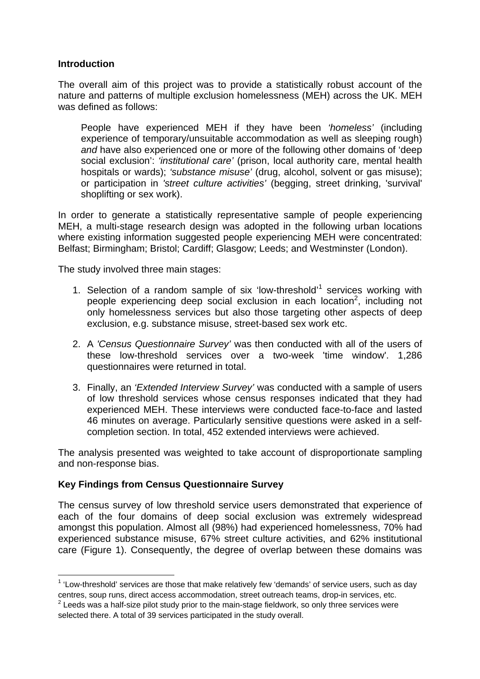## **Introduction**

 $\overline{a}$ 

The overall aim of this project was to provide a statistically robust account of the nature and patterns of multiple exclusion homelessness (MEH) across the UK. MEH was defined as follows:

People have experienced MEH if they have been *'homeless'* (including experience of temporary/unsuitable accommodation as well as sleeping rough) *and* have also experienced one or more of the following other domains of 'deep social exclusion': *'institutional care'* (prison, local authority care, mental health hospitals or wards); *'substance misuse'* (drug, alcohol, solvent or gas misuse); or participation in *'street culture activities'* (begging, street drinking, 'survival' shoplifting or sex work).

In order to generate a statistically representative sample of people experiencing MEH, a multi-stage research design was adopted in the following urban locations where existing information suggested people experiencing MEH were concentrated: Belfast; Birmingham; Bristol; Cardiff; Glasgow; Leeds; and Westminster (London).

The study involved three main stages:

- 1. Selection of a random sample of six 'low-threshold'<sup>1</sup> services working with people experiencing deep social exclusion in each location<sup>2</sup>, including not only homelessness services but also those targeting other aspects of deep exclusion, e.g. substance misuse, street-based sex work etc.
- 2. A *'Census Questionnaire Survey'* was then conducted with all of the users of these low-threshold services over a two-week 'time window'. 1,286 questionnaires were returned in total.
- 3. Finally, an *'Extended Interview Survey'* was conducted with a sample of users of low threshold services whose census responses indicated that they had experienced MEH. These interviews were conducted face-to-face and lasted 46 minutes on average. Particularly sensitive questions were asked in a selfcompletion section. In total, 452 extended interviews were achieved.

The analysis presented was weighted to take account of disproportionate sampling and non-response bias.

## **Key Findings from Census Questionnaire Survey**

The census survey of low threshold service users demonstrated that experience of each of the four domains of deep social exclusion was extremely widespread amongst this population. Almost all (98%) had experienced homelessness, 70% had experienced substance misuse, 67% street culture activities, and 62% institutional care (Figure 1). Consequently, the degree of overlap between these domains was

 $1$  'Low-threshold' services are those that make relatively few 'demands' of service users, such as day centres, soup runs, direct access accommodation, street outreach teams, drop-in services, etc.  $2$  Leeds was a half-size pilot study prior to the main-stage fieldwork, so only three services were selected there. A total of 39 services participated in the study overall.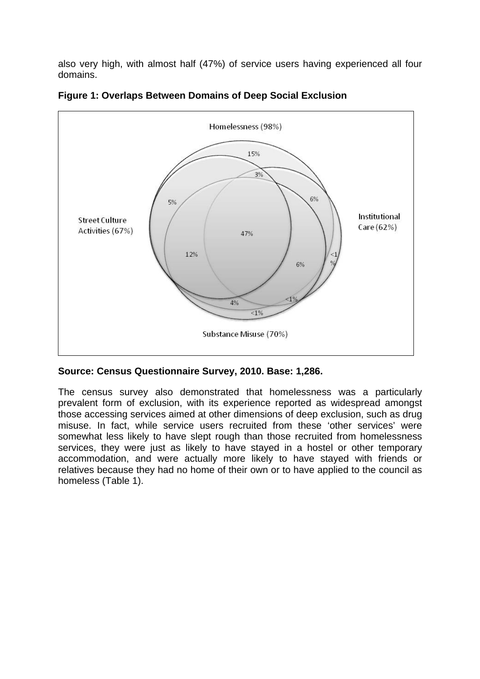also very high, with almost half (47%) of service users having experienced all four domains.



**Figure 1: Overlaps Between Domains of Deep Social Exclusion** 

# **Source: Census Questionnaire Survey, 2010. Base: 1,286.**

The census survey also demonstrated that homelessness was a particularly prevalent form of exclusion, with its experience reported as widespread amongst those accessing services aimed at other dimensions of deep exclusion, such as drug misuse. In fact, while service users recruited from these 'other services' were somewhat less likely to have slept rough than those recruited from homelessness services, they were just as likely to have stayed in a hostel or other temporary accommodation, and were actually more likely to have stayed with friends or relatives because they had no home of their own or to have applied to the council as homeless (Table 1).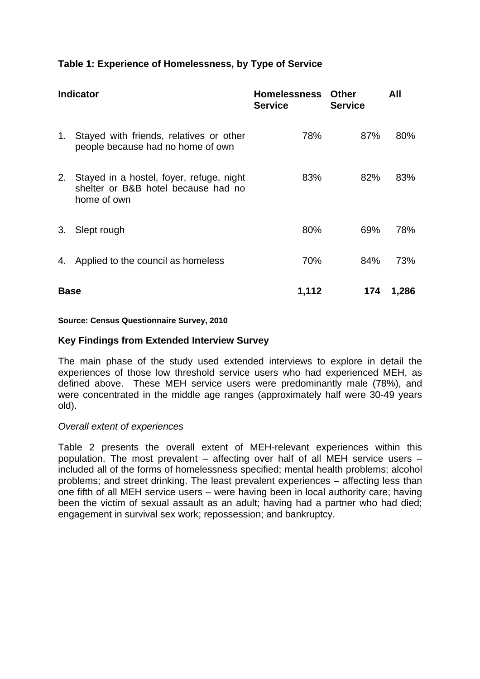# **Table 1: Experience of Homelessness, by Type of Service**

| <b>Indicator</b> |                                                                                                | <b>Homelessness</b><br><b>Service</b> | <b>Other</b><br><b>Service</b> | All   |
|------------------|------------------------------------------------------------------------------------------------|---------------------------------------|--------------------------------|-------|
| 1.               | Stayed with friends, relatives or other<br>people because had no home of own                   | 78%                                   | 87%                            | 80%   |
| 2.               | Stayed in a hostel, foyer, refuge, night<br>shelter or B&B hotel because had no<br>home of own | 83%                                   | 82%                            | 83%   |
| 3.               | Slept rough                                                                                    | 80%                                   | 69%                            | 78%   |
| 4.               | Applied to the council as homeless                                                             | 70%                                   | 84%                            | 73%   |
| <b>Base</b>      |                                                                                                | 1,112                                 | 174                            | 1,286 |

#### **Source: Census Questionnaire Survey, 2010**

#### **Key Findings from Extended Interview Survey**

The main phase of the study used extended interviews to explore in detail the experiences of those low threshold service users who had experienced MEH, as defined above. These MEH service users were predominantly male (78%), and were concentrated in the middle age ranges (approximately half were 30-49 years old).

#### *Overall extent of experiences*

Table 2 presents the overall extent of MEH-relevant experiences within this population. The most prevalent – affecting over half of all MEH service users – included all of the forms of homelessness specified; mental health problems; alcohol problems; and street drinking. The least prevalent experiences – affecting less than one fifth of all MEH service users – were having been in local authority care; having been the victim of sexual assault as an adult; having had a partner who had died; engagement in survival sex work; repossession; and bankruptcy.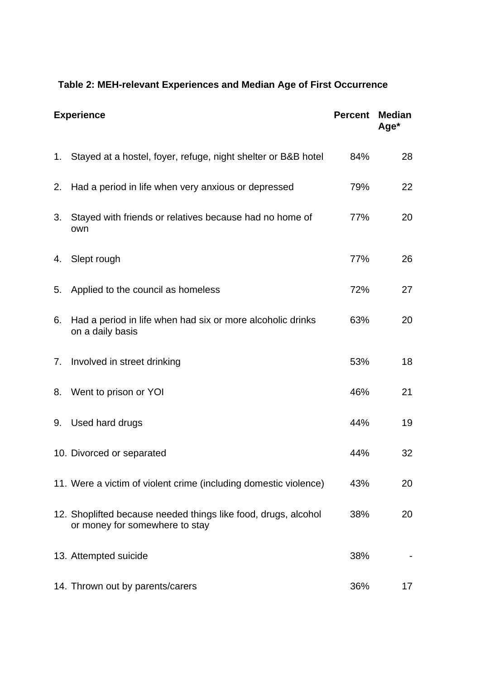# **Table 2: MEH-relevant Experiences and Median Age of First Occurrence**

| <b>Experience</b> |                                                                                                  | <b>Percent</b> | <b>Median</b><br>Age* |
|-------------------|--------------------------------------------------------------------------------------------------|----------------|-----------------------|
|                   | 1. Stayed at a hostel, foyer, refuge, night shelter or B&B hotel                                 | 84%            | 28                    |
| 2.                | Had a period in life when very anxious or depressed                                              | 79%            | 22                    |
| 3.                | Stayed with friends or relatives because had no home of<br>own                                   | 77%            | 20                    |
| 4.                | Slept rough                                                                                      | 77%            | 26                    |
| 5.                | Applied to the council as homeless                                                               | 72%            | 27                    |
| 6.                | Had a period in life when had six or more alcoholic drinks<br>on a daily basis                   | 63%            | 20                    |
| 7.                | Involved in street drinking                                                                      | 53%            | 18                    |
| 8.                | Went to prison or YOI                                                                            | 46%            | 21                    |
| 9.                | Used hard drugs                                                                                  | 44%            | 19                    |
|                   | 10. Divorced or separated                                                                        | 44%            | 32                    |
|                   | 11. Were a victim of violent crime (including domestic violence)                                 | 43%            | 20                    |
|                   | 12. Shoplifted because needed things like food, drugs, alcohol<br>or money for somewhere to stay | 38%            | 20                    |
|                   | 13. Attempted suicide                                                                            | 38%            |                       |
|                   | 14. Thrown out by parents/carers                                                                 | 36%            | 17                    |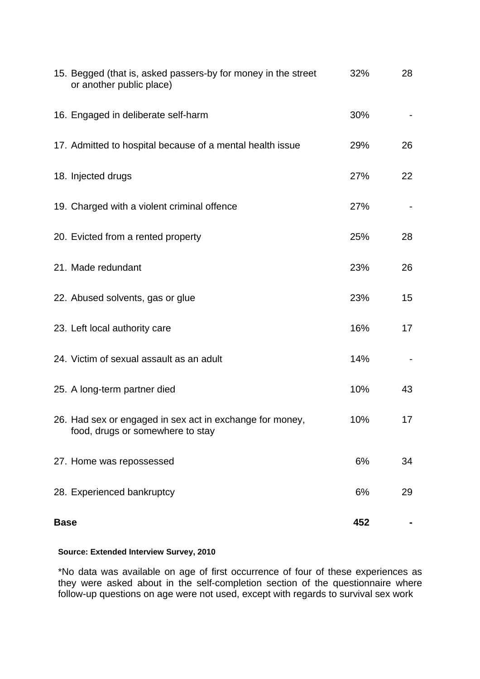|             | 15. Begged (that is, asked passers-by for money in the street<br>or another public place)    | 32% | 28 |
|-------------|----------------------------------------------------------------------------------------------|-----|----|
|             | 16. Engaged in deliberate self-harm                                                          | 30% |    |
|             | 17. Admitted to hospital because of a mental health issue                                    | 29% | 26 |
|             | 18. Injected drugs                                                                           | 27% | 22 |
|             | 19. Charged with a violent criminal offence                                                  | 27% |    |
|             | 20. Evicted from a rented property                                                           | 25% | 28 |
|             | 21. Made redundant                                                                           | 23% | 26 |
|             | 22. Abused solvents, gas or glue                                                             | 23% | 15 |
|             | 23. Left local authority care                                                                | 16% | 17 |
|             | 24. Victim of sexual assault as an adult                                                     | 14% |    |
|             | 25. A long-term partner died                                                                 | 10% | 43 |
|             | 26. Had sex or engaged in sex act in exchange for money,<br>food, drugs or somewhere to stay | 10% | 17 |
|             | 27. Home was repossessed                                                                     | 6%  | 34 |
|             | 28. Experienced bankruptcy                                                                   | 6%  | 29 |
| <b>Base</b> |                                                                                              | 452 |    |

## **Source: Extended Interview Survey, 2010**

\*No data was available on age of first occurrence of four of these experiences as they were asked about in the self-completion section of the questionnaire where follow-up questions on age were not used, except with regards to survival sex work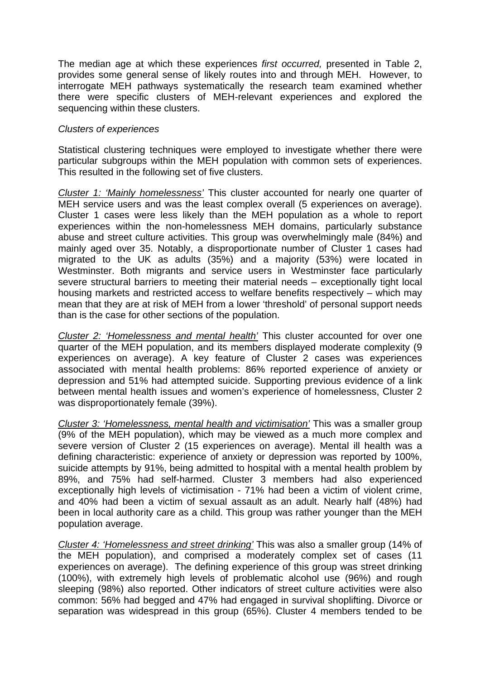The median age at which these experiences *first occurred,* presented in Table 2, provides some general sense of likely routes into and through MEH. However, to interrogate MEH pathways systematically the research team examined whether there were specific clusters of MEH-relevant experiences and explored the sequencing within these clusters.

## *Clusters of experiences*

Statistical clustering techniques were employed to investigate whether there were particular subgroups within the MEH population with common sets of experiences. This resulted in the following set of five clusters.

*Cluster 1: 'Mainly homelessness'* This cluster accounted for nearly one quarter of MEH service users and was the least complex overall (5 experiences on average). Cluster 1 cases were less likely than the MEH population as a whole to report experiences within the non-homelessness MEH domains, particularly substance abuse and street culture activities. This group was overwhelmingly male (84%) and mainly aged over 35. Notably, a disproportionate number of Cluster 1 cases had migrated to the UK as adults (35%) and a majority (53%) were located in Westminster. Both migrants and service users in Westminster face particularly severe structural barriers to meeting their material needs – exceptionally tight local housing markets and restricted access to welfare benefits respectively – which may mean that they are at risk of MEH from a lower 'threshold' of personal support needs than is the case for other sections of the population.

*Cluster 2: 'Homelessness and mental health'* This cluster accounted for over one quarter of the MEH population, and its members displayed moderate complexity (9 experiences on average). A key feature of Cluster 2 cases was experiences associated with mental health problems: 86% reported experience of anxiety or depression and 51% had attempted suicide. Supporting previous evidence of a link between mental health issues and women's experience of homelessness, Cluster 2 was disproportionately female (39%).

*Cluster 3: 'Homelessness, mental health and victimisation'* This was a smaller group (9% of the MEH population), which may be viewed as a much more complex and severe version of Cluster 2 (15 experiences on average). Mental ill health was a defining characteristic: experience of anxiety or depression was reported by 100%, suicide attempts by 91%, being admitted to hospital with a mental health problem by 89%, and 75% had self-harmed. Cluster 3 members had also experienced exceptionally high levels of victimisation - 71% had been a victim of violent crime, and 40% had been a victim of sexual assault as an adult. Nearly half (48%) had been in local authority care as a child. This group was rather younger than the MEH population average.

*Cluster 4: 'Homelessness and street drinking'* This was also a smaller group (14% of the MEH population), and comprised a moderately complex set of cases (11 experiences on average). The defining experience of this group was street drinking (100%), with extremely high levels of problematic alcohol use (96%) and rough sleeping (98%) also reported. Other indicators of street culture activities were also common: 56% had begged and 47% had engaged in survival shoplifting. Divorce or separation was widespread in this group (65%). Cluster 4 members tended to be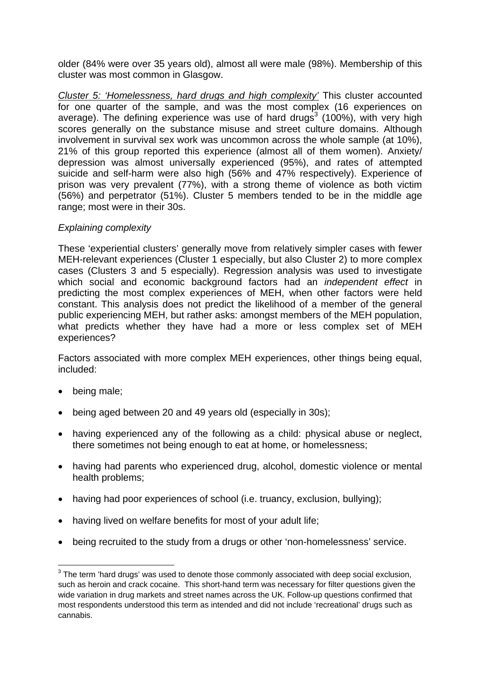older (84% were over 35 years old), almost all were male (98%). Membership of this cluster was most common in Glasgow.

*Cluster 5: 'Homelessness, hard drugs and high complexity'* This cluster accounted for one quarter of the sample, and was the most complex (16 experiences on average). The defining experience was use of hard drugs<sup>3</sup> (100%), with very high scores generally on the substance misuse and street culture domains. Although involvement in survival sex work was uncommon across the whole sample (at 10%), 21% of this group reported this experience (almost all of them women). Anxiety/ depression was almost universally experienced (95%), and rates of attempted suicide and self-harm were also high (56% and 47% respectively). Experience of prison was very prevalent (77%), with a strong theme of violence as both victim (56%) and perpetrator (51%). Cluster 5 members tended to be in the middle age range; most were in their 30s.

## *Explaining complexity*

These 'experiential clusters' generally move from relatively simpler cases with fewer MEH-relevant experiences (Cluster 1 especially, but also Cluster 2) to more complex cases (Clusters 3 and 5 especially). Regression analysis was used to investigate which social and economic background factors had an *independent effect* in predicting the most complex experiences of MEH, when other factors were held constant. This analysis does not predict the likelihood of a member of the general public experiencing MEH, but rather asks: amongst members of the MEH population, what predicts whether they have had a more or less complex set of MEH experiences?

Factors associated with more complex MEH experiences, other things being equal, included:

- being male;
- being aged between 20 and 49 years old (especially in 30s);
- having experienced any of the following as a child: physical abuse or neglect, there sometimes not being enough to eat at home, or homelessness;
- having had parents who experienced drug, alcohol, domestic violence or mental health problems;
- having had poor experiences of school (i.e. truancy, exclusion, bullying);
- having lived on welfare benefits for most of your adult life;
- being recruited to the study from a drugs or other 'non-homelessness' service.

 3 The term 'hard drugs' was used to denote those commonly associated with deep social exclusion, such as heroin and crack cocaine. This short-hand term was necessary for filter questions given the wide variation in drug markets and street names across the UK. Follow-up questions confirmed that most respondents understood this term as intended and did not include 'recreational' drugs such as cannabis.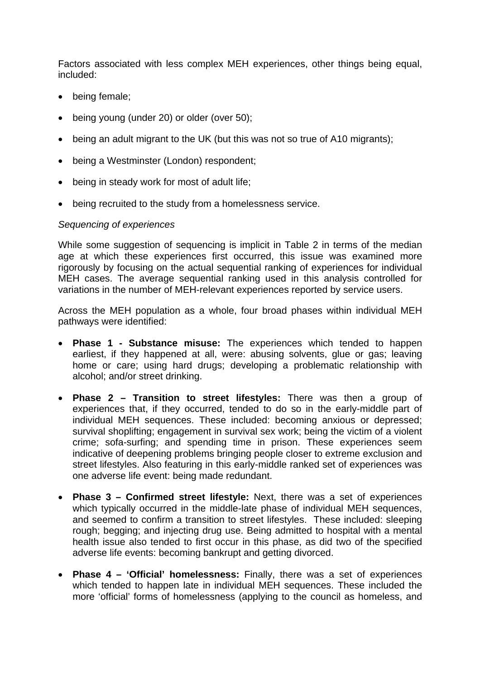Factors associated with less complex MEH experiences, other things being equal, included:

- being female;
- being young (under 20) or older (over 50);
- being an adult migrant to the UK (but this was not so true of A10 migrants);
- being a Westminster (London) respondent;
- being in steady work for most of adult life;
- being recruited to the study from a homelessness service.

#### *Sequencing of experiences*

While some suggestion of sequencing is implicit in Table 2 in terms of the median age at which these experiences first occurred, this issue was examined more rigorously by focusing on the actual sequential ranking of experiences for individual MEH cases. The average sequential ranking used in this analysis controlled for variations in the number of MEH-relevant experiences reported by service users.

Across the MEH population as a whole, four broad phases within individual MEH pathways were identified:

- **Phase 1 Substance misuse:** The experiences which tended to happen earliest, if they happened at all, were: abusing solvents, glue or gas; leaving home or care; using hard drugs; developing a problematic relationship with alcohol; and/or street drinking.
- **Phase 2 Transition to street lifestyles:** There was then a group of experiences that, if they occurred, tended to do so in the early-middle part of individual MEH sequences. These included: becoming anxious or depressed; survival shoplifting; engagement in survival sex work; being the victim of a violent crime; sofa-surfing; and spending time in prison. These experiences seem indicative of deepening problems bringing people closer to extreme exclusion and street lifestyles. Also featuring in this early-middle ranked set of experiences was one adverse life event: being made redundant.
- **Phase 3 Confirmed street lifestyle:** Next, there was a set of experiences which typically occurred in the middle-late phase of individual MEH sequences, and seemed to confirm a transition to street lifestyles. These included: sleeping rough; begging; and injecting drug use. Being admitted to hospital with a mental health issue also tended to first occur in this phase, as did two of the specified adverse life events: becoming bankrupt and getting divorced.
- **Phase 4 'Official' homelessness:** Finally, there was a set of experiences which tended to happen late in individual MEH sequences. These included the more 'official' forms of homelessness (applying to the council as homeless, and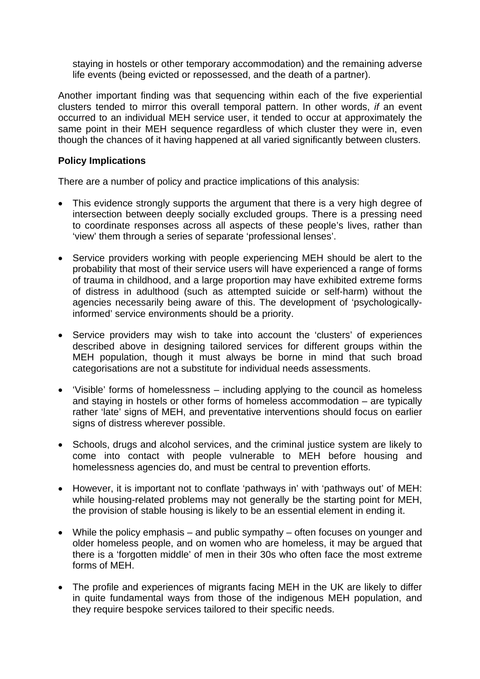staying in hostels or other temporary accommodation) and the remaining adverse life events (being evicted or repossessed, and the death of a partner).

Another important finding was that sequencing within each of the five experiential clusters tended to mirror this overall temporal pattern. In other words, *if* an event occurred to an individual MEH service user, it tended to occur at approximately the same point in their MEH sequence regardless of which cluster they were in, even though the chances of it having happened at all varied significantly between clusters.

## **Policy Implications**

There are a number of policy and practice implications of this analysis:

- This evidence strongly supports the argument that there is a very high degree of intersection between deeply socially excluded groups. There is a pressing need to coordinate responses across all aspects of these people's lives, rather than 'view' them through a series of separate 'professional lenses'.
- Service providers working with people experiencing MEH should be alert to the probability that most of their service users will have experienced a range of forms of trauma in childhood, and a large proportion may have exhibited extreme forms of distress in adulthood (such as attempted suicide or self-harm) without the agencies necessarily being aware of this. The development of 'psychologicallyinformed' service environments should be a priority.
- Service providers may wish to take into account the 'clusters' of experiences described above in designing tailored services for different groups within the MEH population, though it must always be borne in mind that such broad categorisations are not a substitute for individual needs assessments.
- 'Visible' forms of homelessness including applying to the council as homeless and staying in hostels or other forms of homeless accommodation – are typically rather 'late' signs of MEH, and preventative interventions should focus on earlier signs of distress wherever possible.
- Schools, drugs and alcohol services, and the criminal justice system are likely to come into contact with people vulnerable to MEH before housing and homelessness agencies do, and must be central to prevention efforts.
- However, it is important not to conflate 'pathways in' with 'pathways out' of MEH: while housing-related problems may not generally be the starting point for MEH, the provision of stable housing is likely to be an essential element in ending it.
- While the policy emphasis and public sympathy often focuses on younger and older homeless people, and on women who are homeless, it may be argued that there is a 'forgotten middle' of men in their 30s who often face the most extreme forms of MEH.
- The profile and experiences of migrants facing MEH in the UK are likely to differ in quite fundamental ways from those of the indigenous MEH population, and they require bespoke services tailored to their specific needs.